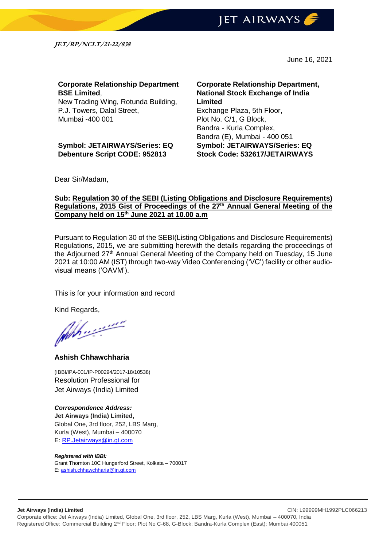

**JET/RP/NCLT/21-22/838**

June 16, 2021

### **Corporate Relationship Department BSE Limited**,

New Trading Wing, Rotunda Building, P.J. Towers, Dalal Street, Mumbai -400 001

**Symbol: JETAIRWAYS/Series: EQ Debenture Script CODE: 952813**

**Corporate Relationship Department, National Stock Exchange of India Limited** Exchange Plaza, 5th Floor, Plot No. C/1, G Block, Bandra - Kurla Complex, Bandra (E), Mumbai - 400 051 **Symbol: JETAIRWAYS/Series: EQ Stock Code: 532617/JETAIRWAYS**

Dear Sir/Madam,

#### **Sub: Regulation 30 of the SEBI (Listing Obligations and Disclosure Requirements) Regulations, 2015 Gist of Proceedings of the 27th Annual General Meeting of the Company held on 15th June 2021 at 10.00 a.m**

Pursuant to Regulation 30 of the SEBI(Listing Obligations and Disclosure Requirements) Regulations, 2015, we are submitting herewith the details regarding the proceedings of the Adjourned 27<sup>th</sup> Annual General Meeting of the Company held on Tuesday, 15 June 2021 at 10:00 AM (IST) through two-way Video Conferencing ('VC') facility or other audiovisual means ('OAVM').

This is for your information and record

Kind Regards,

**Ashish Chhawchharia**

(IBBI/IPA-001/IP-P00294/2017-18/10538) Resolution Professional for Jet Airways (India) Limited

*Correspondence Address:* **Jet Airways (India) Limited,** Global One, 3rd floor, 252, LBS Marg, Kurla (West), Mumbai – 400070 E: [RP.Jetairways@in.gt.com](mailto:RP.Jetairways@in.gt.com)

#### *Registered with IBBI:*

Grant Thornton 10C Hungerford Street, Kolkata – 700017 E: [ashish.chhawchharia@in.gt.com](mailto:ashish.chhawchharia@in.gt.com)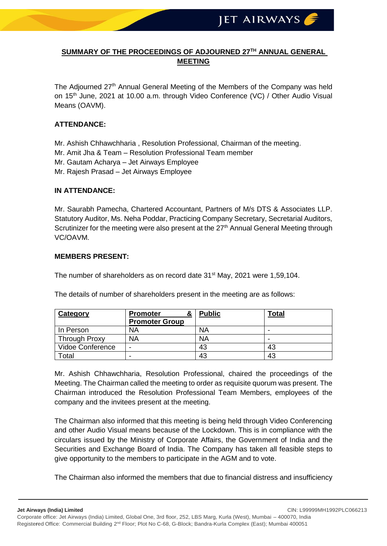## **SUMMARY OF THE PROCEEDINGS OF ADJOURNED 27TH ANNUAL GENERAL MEETING**

The Adjourned 27<sup>th</sup> Annual General Meeting of the Members of the Company was held on 15<sup>th</sup> June, 2021 at 10.00 a.m. through Video Conference (VC) / Other Audio Visual Means (OAVM).

#### **ATTENDANCE:**

Mr. Ashish Chhawchharia , Resolution Professional, Chairman of the meeting.

- Mr. Amit Jha & Team Resolution Professional Team member
- Mr. Gautam Acharya Jet Airways Employee
- Mr. Rajesh Prasad Jet Airways Employee

#### **IN ATTENDANCE:**

Mr. Saurabh Pamecha, Chartered Accountant, Partners of M/s DTS & Associates LLP. Statutory Auditor, Ms. Neha Poddar, Practicing Company Secretary, Secretarial Auditors, Scrutinizer for the meeting were also present at the  $27<sup>th</sup>$  Annual General Meeting through VC/OAVM.

#### **MEMBERS PRESENT:**

The number of shareholders as on record date 31<sup>st</sup> May, 2021 were 1,59,104.

|  | The details of number of shareholders present in the meeting are as follows: |  |  |
|--|------------------------------------------------------------------------------|--|--|
|  |                                                                              |  |  |

| Category             | &<br><b>Promoter</b>  | <b>Public</b> | <b>Total</b> |
|----------------------|-----------------------|---------------|--------------|
|                      | <b>Promoter Group</b> |               |              |
| In Person            | NA                    | <b>NA</b>     |              |
| <b>Through Proxy</b> | <b>NA</b>             | <b>NA</b>     |              |
| Vidoe Conference     | -                     | 43            | 43           |
| Total                | -                     | 43            | 43           |

Mr. Ashish Chhawchharia, Resolution Professional, chaired the proceedings of the Meeting. The Chairman called the meeting to order as requisite quorum was present. The Chairman introduced the Resolution Professional Team Members, employees of the company and the invitees present at the meeting.

The Chairman also informed that this meeting is being held through Video Conferencing and other Audio Visual means because of the Lockdown. This is in compliance with the circulars issued by the Ministry of Corporate Affairs, the Government of India and the Securities and Exchange Board of India. The Company has taken all feasible steps to give opportunity to the members to participate in the AGM and to vote.

The Chairman also informed the members that due to financial distress and insufficiency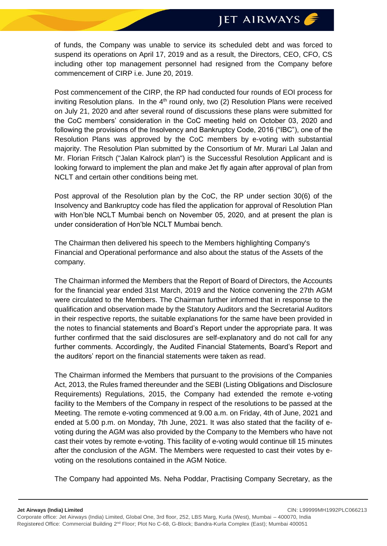# **JET AIRWAYS**

of funds, the Company was unable to service its scheduled debt and was forced to suspend its operations on April 17, 2019 and as a result, the Directors, CEO, CFO, CS including other top management personnel had resigned from the Company before commencement of CIRP i.e. June 20, 2019.

Post commencement of the CIRP, the RP had conducted four rounds of EOI process for inviting Resolution plans. In the  $4<sup>th</sup>$  round only, two (2) Resolution Plans were received on July 21, 2020 and after several round of discussions these plans were submitted for the CoC members' consideration in the CoC meeting held on October 03, 2020 and following the provisions of the Insolvency and Bankruptcy Code, 2016 ("IBC"), one of the Resolution Plans was approved by the CoC members by e-voting with substantial majority. The Resolution Plan submitted by the Consortium of Mr. Murari Lal Jalan and Mr. Florian Fritsch ("Jalan Kalrock plan") is the Successful Resolution Applicant and is looking forward to implement the plan and make Jet fly again after approval of plan from NCLT and certain other conditions being met.

Post approval of the Resolution plan by the CoC, the RP under section 30(6) of the Insolvency and Bankruptcy code has filed the application for approval of Resolution Plan with Hon'ble NCLT Mumbai bench on November 05, 2020, and at present the plan is under consideration of Hon'ble NCLT Mumbai bench.

The Chairman then delivered his speech to the Members highlighting Company's Financial and Operational performance and also about the status of the Assets of the company.

The Chairman informed the Members that the Report of Board of Directors, the Accounts for the financial year ended 31st March, 2019 and the Notice convening the 27th AGM were circulated to the Members. The Chairman further informed that in response to the qualification and observation made by the Statutory Auditors and the Secretarial Auditors in their respective reports, the suitable explanations for the same have been provided in the notes to financial statements and Board's Report under the appropriate para. It was further confirmed that the said disclosures are self-explanatory and do not call for any further comments. Accordingly, the Audited Financial Statements, Board's Report and the auditors' report on the financial statements were taken as read.

The Chairman informed the Members that pursuant to the provisions of the Companies Act, 2013, the Rules framed thereunder and the SEBI (Listing Obligations and Disclosure Requirements) Regulations, 2015, the Company had extended the remote e-voting facility to the Members of the Company in respect of the resolutions to be passed at the Meeting. The remote e-voting commenced at 9.00 a.m. on Friday, 4th of June, 2021 and ended at 5.00 p.m. on Monday, 7th June, 2021. It was also stated that the facility of evoting during the AGM was also provided by the Company to the Members who have not cast their votes by remote e-voting. This facility of e-voting would continue till 15 minutes after the conclusion of the AGM. The Members were requested to cast their votes by evoting on the resolutions contained in the AGM Notice.

The Company had appointed Ms. Neha Poddar, Practising Company Secretary, as the